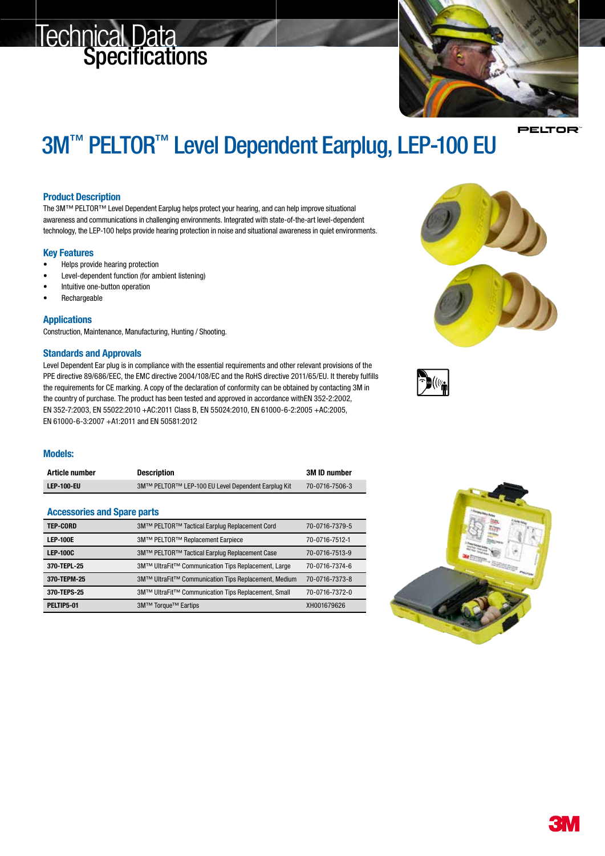# **Technical Data**<br>Specifications



PELTOR

## 3M<sup>™</sup> PELTOR<sup>™</sup> Level Dependent Earplug, LEP-100 EU

#### Product Description

The 3M™ PELTOR™ Level Dependent Earplug helps protect your hearing, and can help improve situational awareness and communications in challenging environments. Integrated with state-of-the-art level-dependent technology, the LEP-100 helps provide hearing protection in noise and situational awareness in quiet environments.

#### Key Features

- Helps provide hearing protection
- Level-dependent function (for ambient listening)
- Intuitive one-button operation
- **Rechargeable**

#### **Applications**

Construction, Maintenance, Manufacturing, Hunting / Shooting.

#### Standards and Approvals

Level Dependent Ear plug is in compliance with the essential requirements and other relevant provisions of the PPE directive 89/686/EEC, the EMC directive 2004/108/EC and the RoHS directive 2011/65/EU. It thereby fulfills the requirements for CE marking. A copy of the declaration of conformity can be obtained by contacting 3M in the country of purchase. The product has been tested and approved in accordance withEN 352-2:2002, EN 352-7:2003, EN 55022:2010 +AC:2011 Class B, EN 55024:2010, EN 61000-6-2:2005 +AC:2005, EN 61000-6-3:2007 +A1:2011 and EN 50581:2012

### Models:

| Article number | <b>Description</b>                                 | <b>3M ID number</b> |
|----------------|----------------------------------------------------|---------------------|
| LEP-100-EU     | 3M™ PELTOR™ LEP-100 EU Level Dependent Earplug Kit | 70-0716-7506-3      |

#### Accessories and Spare parts

| <b>TEP-CORD</b> | 3M™ PELTOR™ Tactical Earplug Replacement Cord        | 70-0716-7379-5 |
|-----------------|------------------------------------------------------|----------------|
| <b>LEP-100E</b> | 3M™ PELTOR™ Replacement Earpiece                     | 70-0716-7512-1 |
| <b>LEP-100C</b> | 3M™ PELTOR™ Tactical Earplug Replacement Case        | 70-0716-7513-9 |
| 370-TEPL-25     | 3M™ UltraFit™ Communication Tips Replacement, Large  | 70-0716-7374-6 |
| 370-TEPM-25     | 3M™ UltraFit™ Communication Tips Replacement, Medium | 70-0716-7373-8 |
| 370-TEPS-25     | 3M™ UltraFit™ Communication Tips Replacement, Small  | 70-0716-7372-0 |
| PELTIP5-01      | 3M™ Torque™ Eartips                                  | XH001679626    |